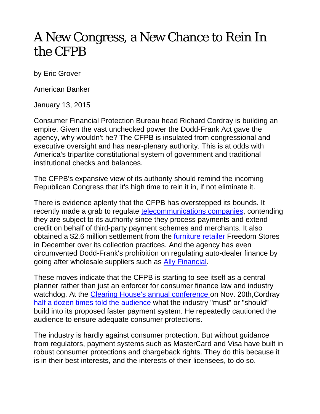## A New Congress, a New Chance to Rein In the CFPB

by Eric Grover

American Banker

January 13, 2015

Consumer Financial Protection Bureau head Richard Cordray is building an empire. Given the vast unchecked power the Dodd-Frank Act gave the agency, why wouldn't he? The CFPB is insulated from congressional and executive oversight and has near-plenary authority. This is at odds with America's tripartite constitutional system of government and traditional institutional checks and balances.

The CFPB's expansive view of its authority should remind the incoming Republican Congress that it's high time to rein it in, if not eliminate it.

There is evidence aplenty that the CFPB has overstepped its bounds. It recently made a grab to regulate telecommunications companies, contending they are subject to its authority since they process payments and extend credit on behalf of third-party payment schemes and merchants. It also obtained a \$2.6 million settlement from the furniture retailer Freedom Stores in December over its collection practices. And the agency has even circumvented Dodd-Frank's prohibition on regulating auto-dealer finance by going after wholesale suppliers such as Ally Financial.

These moves indicate that the CFPB is starting to see itself as a central planner rather than just an enforcer for consumer finance law and industry watchdog. At the Clearing House's annual conference on Nov. 20th,Cordray half a dozen times told the audience what the industry "must" or "should" build into its proposed faster payment system. He repeatedly cautioned the audience to ensure adequate consumer protections.

The industry is hardly against consumer protection. But without guidance from regulators, payment systems such as MasterCard and Visa have built in robust consumer protections and chargeback rights. They do this because it is in their best interests, and the interests of their licensees, to do so.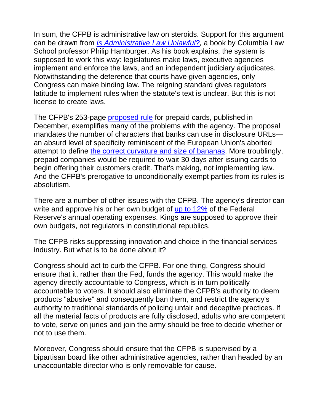In sum, the CFPB is administrative law on steroids. Support for this argument can be drawn from *Is Administrative Law Unlawful?,* a book by Columbia Law School professor Philip Hamburger. As his book explains, the system is supposed to work this way: legislatures make laws, executive agencies implement and enforce the laws, and an independent judiciary adjudicates. Notwithstanding the deference that courts have given agencies, only Congress can make binding law. The reigning standard gives regulators latitude to implement rules when the statute's text is unclear. But this is not license to create laws.

The CFPB's 253-page proposed rule for prepaid cards, published in December, exemplifies many of the problems with the agency. The proposal mandates the number of characters that banks can use in disclosure URLs an absurd level of specificity reminiscent of the European Union's aborted attempt to define the correct curvature and size of bananas. More troublingly, prepaid companies would be required to wait 30 days after issuing cards to begin offering their customers credit. That's making, not implementing law. And the CFPB's prerogative to unconditionally exempt parties from its rules is absolutism.

There are a number of other issues with the CFPB. The agency's director can write and approve his or her own budget of up to 12% of the Federal Reserve's annual operating expenses. Kings are supposed to approve their own budgets, not regulators in constitutional republics.

The CFPB risks suppressing innovation and choice in the financial services industry. But what is to be done about it?

Congress should act to curb the CFPB. For one thing, Congress should ensure that it, rather than the Fed, funds the agency. This would make the agency directly accountable to Congress, which is in turn politically accountable to voters. It should also eliminate the CFPB's authority to deem products "abusive" and consequently ban them, and restrict the agency's authority to traditional standards of policing unfair and deceptive practices. If all the material facts of products are fully disclosed, adults who are competent to vote, serve on juries and join the army should be free to decide whether or not to use them.

Moreover, Congress should ensure that the CFPB is supervised by a bipartisan board like other administrative agencies, rather than headed by an unaccountable director who is only removable for cause.